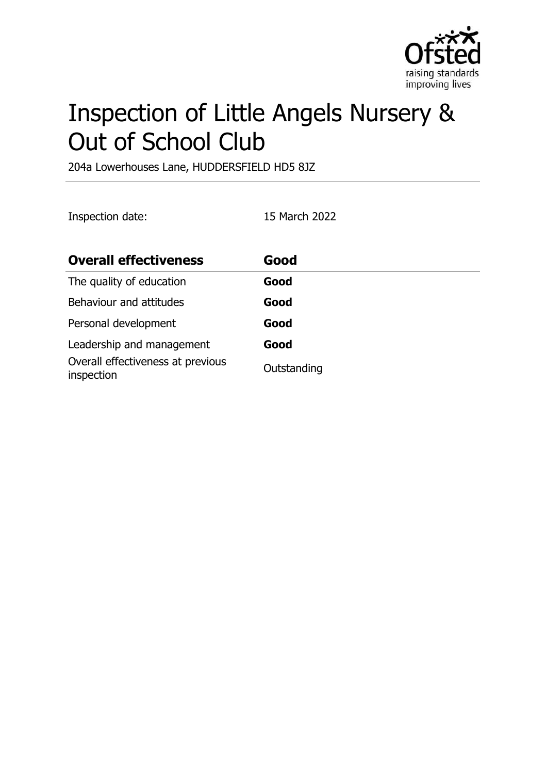

# Inspection of Little Angels Nursery & Out of School Club

204a Lowerhouses Lane, HUDDERSFIELD HD5 8JZ

Inspection date: 15 March 2022

| <b>Overall effectiveness</b>                    | Good        |
|-------------------------------------------------|-------------|
| The quality of education                        | Good        |
| Behaviour and attitudes                         | Good        |
| Personal development                            | Good        |
| Leadership and management                       | Good        |
| Overall effectiveness at previous<br>inspection | Outstanding |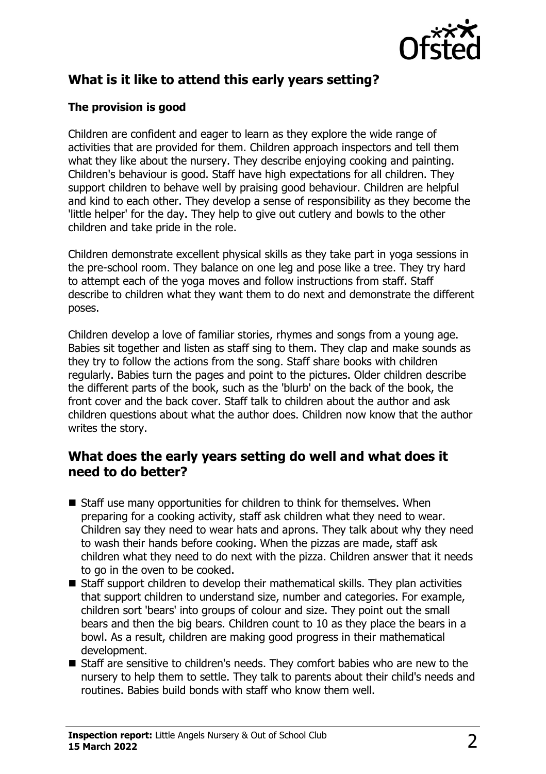

## **What is it like to attend this early years setting?**

#### **The provision is good**

Children are confident and eager to learn as they explore the wide range of activities that are provided for them. Children approach inspectors and tell them what they like about the nursery. They describe enjoying cooking and painting. Children's behaviour is good. Staff have high expectations for all children. They support children to behave well by praising good behaviour. Children are helpful and kind to each other. They develop a sense of responsibility as they become the 'little helper' for the day. They help to give out cutlery and bowls to the other children and take pride in the role.

Children demonstrate excellent physical skills as they take part in yoga sessions in the pre-school room. They balance on one leg and pose like a tree. They try hard to attempt each of the yoga moves and follow instructions from staff. Staff describe to children what they want them to do next and demonstrate the different poses.

Children develop a love of familiar stories, rhymes and songs from a young age. Babies sit together and listen as staff sing to them. They clap and make sounds as they try to follow the actions from the song. Staff share books with children regularly. Babies turn the pages and point to the pictures. Older children describe the different parts of the book, such as the 'blurb' on the back of the book, the front cover and the back cover. Staff talk to children about the author and ask children questions about what the author does. Children now know that the author writes the story.

#### **What does the early years setting do well and what does it need to do better?**

- $\blacksquare$  Staff use many opportunities for children to think for themselves. When preparing for a cooking activity, staff ask children what they need to wear. Children say they need to wear hats and aprons. They talk about why they need to wash their hands before cooking. When the pizzas are made, staff ask children what they need to do next with the pizza. Children answer that it needs to go in the oven to be cooked.
- $\blacksquare$  Staff support children to develop their mathematical skills. They plan activities that support children to understand size, number and categories. For example, children sort 'bears' into groups of colour and size. They point out the small bears and then the big bears. Children count to 10 as they place the bears in a bowl. As a result, children are making good progress in their mathematical development.
- $\blacksquare$  Staff are sensitive to children's needs. They comfort babies who are new to the nursery to help them to settle. They talk to parents about their child's needs and routines. Babies build bonds with staff who know them well.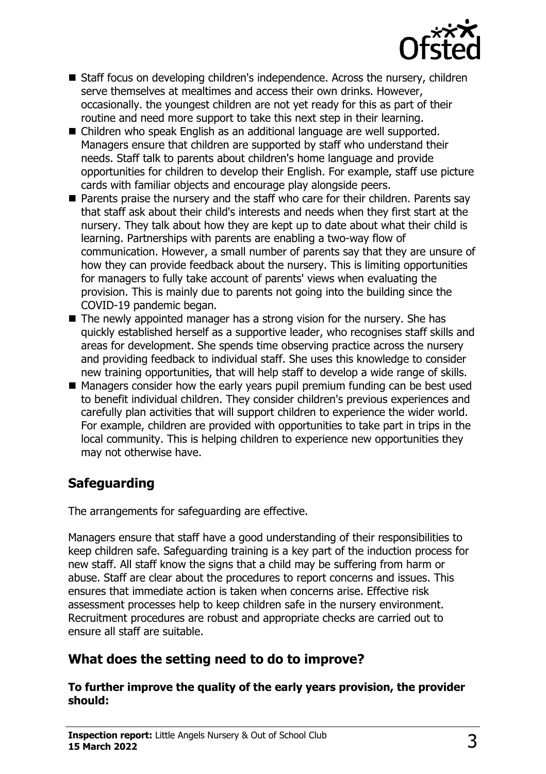

- Staff focus on developing children's independence. Across the nursery, children serve themselves at mealtimes and access their own drinks. However, occasionally. the youngest children are not yet ready for this as part of their routine and need more support to take this next step in their learning.
- Children who speak English as an additional language are well supported. Managers ensure that children are supported by staff who understand their needs. Staff talk to parents about children's home language and provide opportunities for children to develop their English. For example, staff use picture cards with familiar objects and encourage play alongside peers.
- $\blacksquare$  Parents praise the nursery and the staff who care for their children. Parents say that staff ask about their child's interests and needs when they first start at the nursery. They talk about how they are kept up to date about what their child is learning. Partnerships with parents are enabling a two-way flow of communication. However, a small number of parents say that they are unsure of how they can provide feedback about the nursery. This is limiting opportunities for managers to fully take account of parents' views when evaluating the provision. This is mainly due to parents not going into the building since the COVID-19 pandemic began.
- $\blacksquare$  The newly appointed manager has a strong vision for the nursery. She has quickly established herself as a supportive leader, who recognises staff skills and areas for development. She spends time observing practice across the nursery and providing feedback to individual staff. She uses this knowledge to consider new training opportunities, that will help staff to develop a wide range of skills.
- $\blacksquare$  Managers consider how the early years pupil premium funding can be best used to benefit individual children. They consider children's previous experiences and carefully plan activities that will support children to experience the wider world. For example, children are provided with opportunities to take part in trips in the local community. This is helping children to experience new opportunities they may not otherwise have.

# **Safeguarding**

The arrangements for safeguarding are effective.

Managers ensure that staff have a good understanding of their responsibilities to keep children safe. Safeguarding training is a key part of the induction process for new staff. All staff know the signs that a child may be suffering from harm or abuse. Staff are clear about the procedures to report concerns and issues. This ensures that immediate action is taken when concerns arise. Effective risk assessment processes help to keep children safe in the nursery environment. Recruitment procedures are robust and appropriate checks are carried out to ensure all staff are suitable.

### **What does the setting need to do to improve?**

**To further improve the quality of the early years provision, the provider should:**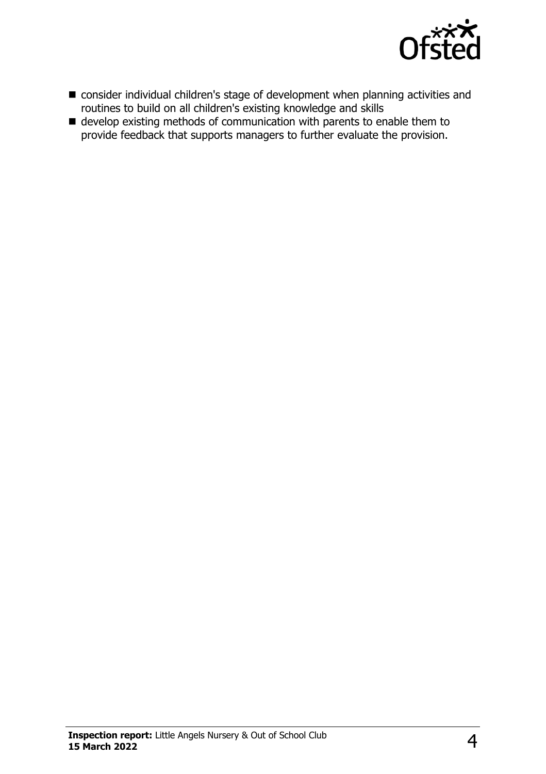

- consider individual children's stage of development when planning activities and routines to build on all children's existing knowledge and skills
- $\blacksquare$  develop existing methods of communication with parents to enable them to provide feedback that supports managers to further evaluate the provision.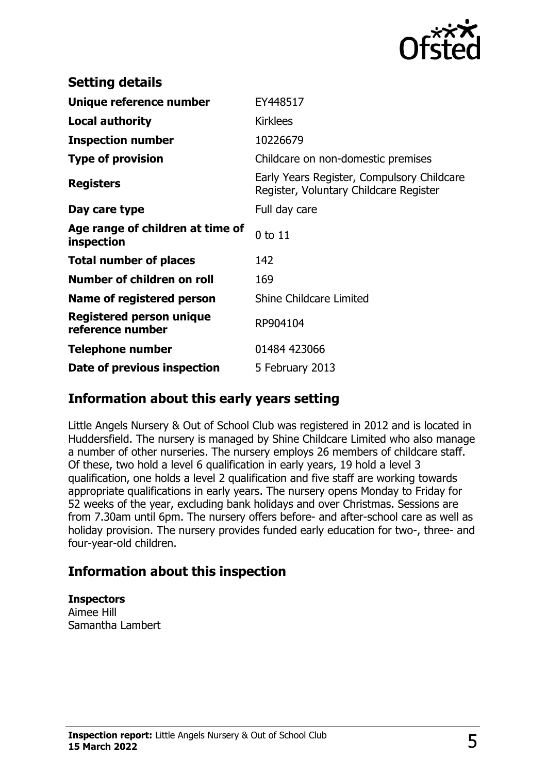

| <b>Setting details</b>                         |                                                                                      |
|------------------------------------------------|--------------------------------------------------------------------------------------|
| Unique reference number                        | EY448517                                                                             |
| <b>Local authority</b>                         | <b>Kirklees</b>                                                                      |
| <b>Inspection number</b>                       | 10226679                                                                             |
| <b>Type of provision</b>                       | Childcare on non-domestic premises                                                   |
| <b>Registers</b>                               | Early Years Register, Compulsory Childcare<br>Register, Voluntary Childcare Register |
| Day care type                                  | Full day care                                                                        |
| Age range of children at time of<br>inspection | 0 to 11                                                                              |
| <b>Total number of places</b>                  | 142                                                                                  |
| Number of children on roll                     | 169                                                                                  |
| Name of registered person                      | <b>Shine Childcare Limited</b>                                                       |
| Registered person unique<br>reference number   | RP904104                                                                             |
| <b>Telephone number</b>                        | 01484 423066                                                                         |
| Date of previous inspection                    | 5 February 2013                                                                      |

#### **Information about this early years setting**

Little Angels Nursery & Out of School Club was registered in 2012 and is located in Huddersfield. The nursery is managed by Shine Childcare Limited who also manage a number of other nurseries. The nursery employs 26 members of childcare staff. Of these, two hold a level 6 qualification in early years, 19 hold a level 3 qualification, one holds a level 2 qualification and five staff are working towards appropriate qualifications in early years. The nursery opens Monday to Friday for 52 weeks of the year, excluding bank holidays and over Christmas. Sessions are from 7.30am until 6pm. The nursery offers before- and after-school care as well as holiday provision. The nursery provides funded early education for two-, three- and four-year-old children.

#### **Information about this inspection**

#### **Inspectors**

Aimee Hill Samantha Lambert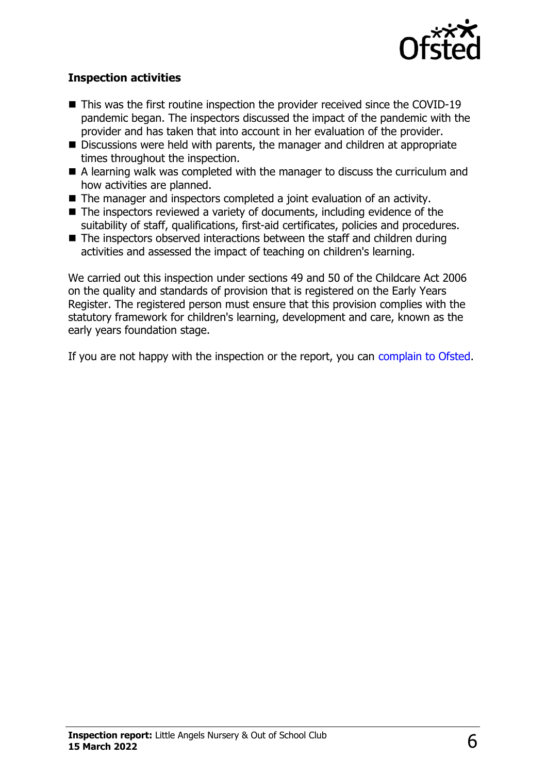

#### **Inspection activities**

- $\blacksquare$  This was the first routine inspection the provider received since the COVID-19 pandemic began. The inspectors discussed the impact of the pandemic with the provider and has taken that into account in her evaluation of the provider.
- Discussions were held with parents, the manager and children at appropriate times throughout the inspection.
- $\blacksquare$  A learning walk was completed with the manager to discuss the curriculum and how activities are planned.
- $\blacksquare$  The manager and inspectors completed a joint evaluation of an activity.
- $\blacksquare$  The inspectors reviewed a variety of documents, including evidence of the suitability of staff, qualifications, first-aid certificates, policies and procedures.
- $\blacksquare$  The inspectors observed interactions between the staff and children during activities and assessed the impact of teaching on children's learning.

We carried out this inspection under sections 49 and 50 of the Childcare Act 2006 on the quality and standards of provision that is registered on the Early Years Register. The registered person must ensure that this provision complies with the statutory framework for children's learning, development and care, known as the early years foundation stage.

If you are not happy with the inspection or the report, you can [complain to Ofsted](http://www.gov.uk/complain-ofsted-report).